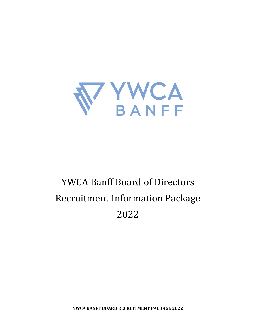

# YWCA Banff Board of Directors Recruitment Information Package 2022

**YWCA BANFF BOARD RECRUITMENT PACKAGE 2022**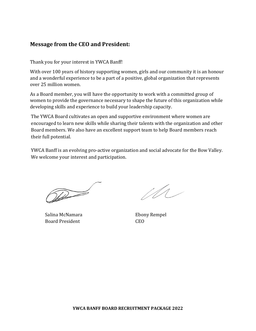# **Message from the CEO and President:**

Thank you for your interest in YWCA Banff!

With over 100 years of history supporting women, girls and our community it is an honour and a wonderful experience to be a part of a positive, global organization that represents over 25 million women.

As a Board member, you will have the opportunity to work with a committed group of women to provide the governance necessary to shape the future of this organization while developing skills and experience to build your leadership capacity.

The YWCA Board cultivates an open and supportive environment where women are encouraged to learn new skills while sharing their talents with the organization and other Board members. We also have an excellent support team to help Board members reach their full potential.

YWCA Banff is an evolving pro-active organization and social advocate for the Bow Valley. We welcome your interest and participation.

Daniel Company

Salina McNamara **Ebony Rempel** Board President CEO

 $110$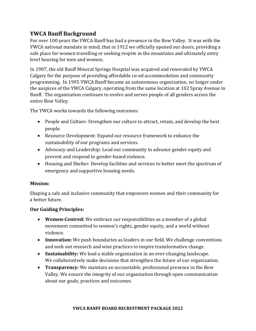# **YWCA Banff Background**

For over 100 years the YWCA Banff has had a presence in the Bow Valley. It was with the YWCA national mandate in mind, that in 1912 we officially opened our doors, providing a safe place for women travelling or seeking respite in the mountains and ultimately entry level housing for men and women.

In 1987, the old Banff Mineral Springs Hospital was acquired and renovated by YWCA Calgary for the purpose of providing affordable co-ed accommodation and community programming. In 1995 YWCA Banff became an autonomous organization, no longer under the auspices of the YWCA Calgary, operating from the same location at 102 Spray Avenue in Banff. The organization continues to evolve and serves people of all genders across the entire Bow Valley.

The YWCA works towards the following outcomes:

- People and Culture: Strengthen our culture to attract, retain, and develop the best people.
- Resource Development: Expand our resource framework to enhance the sustainability of our programs and services.
- Advocacy and Leadership: Lead our community to advance gender equity and prevent and respond to gender-based violence.
- Housing and Shelter: Develop facilities and services to better meet the spectrum of emergency and supportive housing needs.

# **Mission:**

Shaping a safe and inclusive community that empowers women and their community for a better future.

# **Our Guiding Principles:**

- **Women-Centred:** We embrace our responsibilities as a member of a global movement committed to women's rights, gender equity, and a world without violence.
- **Innovation:** We push boundaries as leaders in our field. We challenge conventions and seek out research and wise practices to inspire transformative change.
- **Sustainability:** We lead a stable organization in an ever-changing landscape. We collaboratively make decisions that strengthen the future of our organization.
- **Transparency:** We maintain an accountable, professional presence in the Bow Valley. We ensure the integrity of our organization through open communication about our goals, practices and outcomes.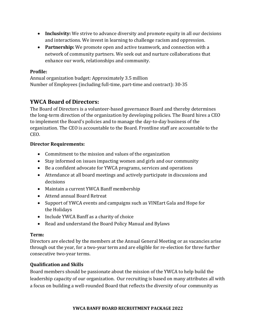- **Inclusivity:** We strive to advance diversity and promote equity in all our decisions and interactions. We invest in learning to challenge racism and oppression.
- **Partnership:** We promote open and active teamwork, and connection with a network of community partners. We seek out and nurture collaborations that enhance our work, relationships and community.

# **Profile:**

Annual organization budget: Approximately 3.5 million Number of Employees (including full-time, part-time and contract): 30-35

# **YWCA Board of Directors:**

The Board of Directors is a volunteer-based governance Board and thereby determines the long-term direction of the organization by developing policies. The Board hires a CEO to implement the Board's policies and to manage the day-to-day business of the organization. The CEO is accountable to the Board. Frontline staff are accountable to the CEO.

# **Director Requirements:**

- Commitment to the mission and values of the organization
- Stay informed on issues impacting women and girls and our community
- Be a confident advocate for YWCA programs, services and operations
- Attendance at all board meetings and actively participate in discussions and decisions
- Maintain a current YWCA Banff membership
- Attend annual Board Retreat
- Support of YWCA events and campaigns such as VINEart Gala and Hope for the Holidays
- Include YWCA Banff as a charity of choice
- Read and understand the Board Policy Manual and Bylaws

# **Term:**

Directors are elected by the members at the Annual General Meeting or as vacancies arise through out the year, for a two-year term and are eligible for re-election for three further consecutive two-year terms.

# **Qualification and Skills**

Board members should be passionate about the mission of the YWCA to help build the leadership capacity of our organization. Our recruiting is based on many attributes all with a focus on building a well-rounded Board that reflects the diversity of our community as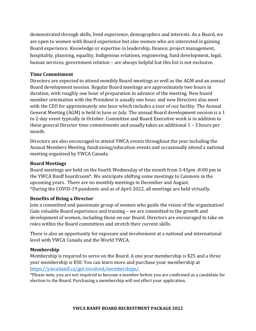demonstrated through skills, lived experience, demographics and interests. As a Board, we are open to women with Board experience but also women who are interested in gaining Board experience. Knowledge or expertise in leadership, finance, project management, hospitality, planning, equality, Indigenous relations, engineering, fund development, legal, human services, government relation – are always helpful but this list is not exclusive.

#### **Time Commitment**

Directors are expected to attend monthly Board meetings as well as the AGM and an annual Board development session. Regular Board meetings are approximately two hours in duration, with roughly one hour of preparation in advance of the meeting. New board member orientation with the President is usually one hour, and new Directors also meet with the CEO for approximately one hour which includes a tour of our facility. The Annual General Meeting (AGM) is held in June or July. The annual Board development session is a 1 to 2-day event typically in October. Committee and Board Executive work is in addition to these general Director time commitments and usually takes an additional 1 – 3 hours per month.

Directors are also encouraged to attend YWCA events throughout the year including the Annual Members Meeting, fundraising/education events and occasionally attend a national meeting organized by YWCA Canada.

#### **Board Meetings**

Board meetings are held on the fourth Wednesday of the month from 5:45pm -8:00 pm in the YWCA Banff boardroom\*. We anticipate shifting some meetings to Canmore in the upcoming years. There are no monthly meetings in December and August. \*During the COVID-19 pandemic and as of April 2022, all meetings are held virtually.

#### **Benefits of Being a Director**

Join a committed and passionate group of women who guide the vision of the organization! Gain valuable Board experience and training – we are committed to the growth and development of women, including those on our Board. Directors are encouraged to take on roles within the Board committees and stretch their current skills.

There is also an opportunity for exposure and involvement at a national and international level with YWCA Canada and the World YWCA.

# **Membership**

Membership is required to serve on the Board. A one year membership is \$25 and a three year membership is \$50. You can learn more and purchase your membership at [https://ywcabanff.ca/get-involved/memberships/.](https://ywcabanff.ca/get-involved/memberships/)

\*Please note, you are not required to become a member before you are confirmed as a candidate for election to the Board. Purchasing a membership will not effect your application.